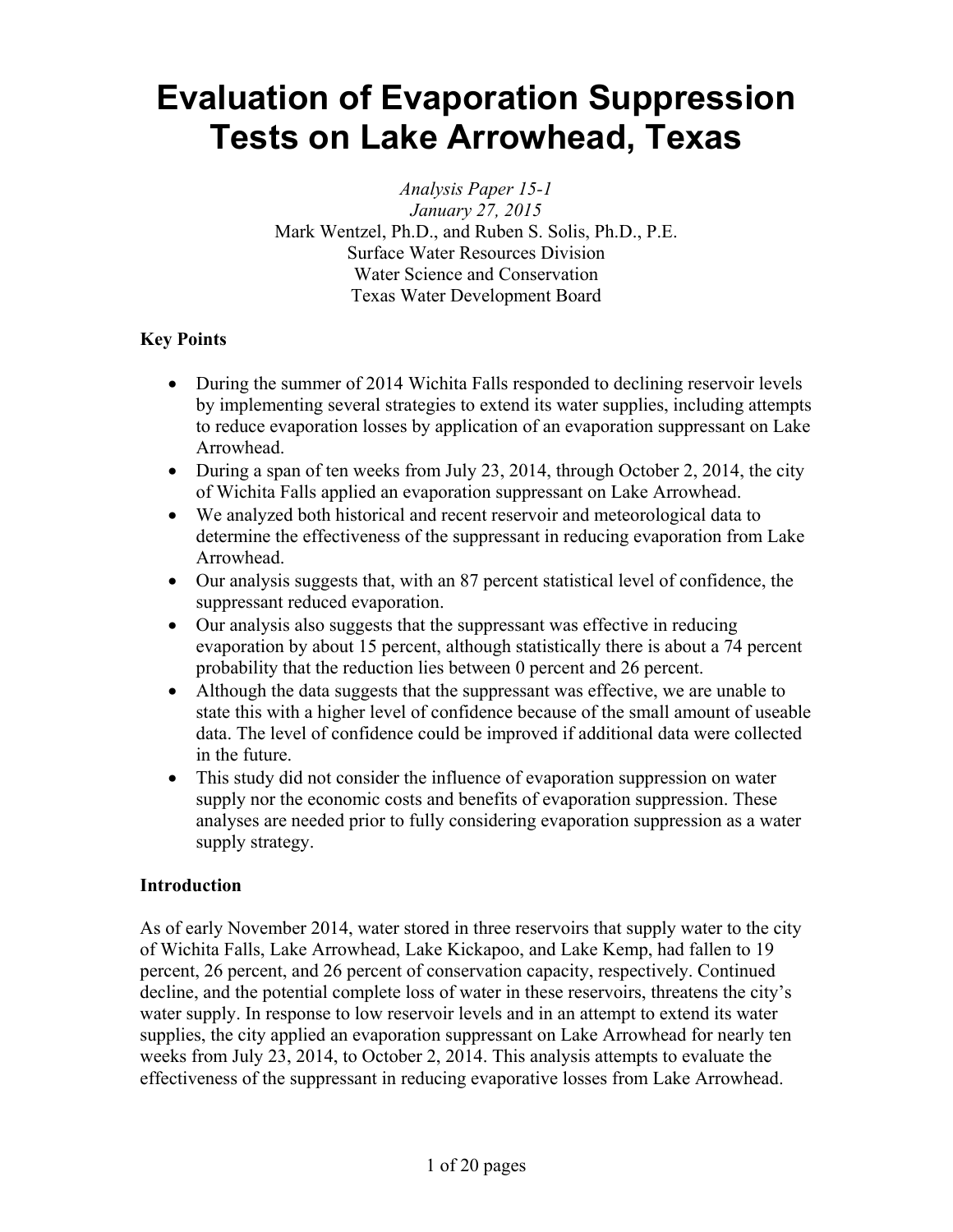# **Evaluation of Evaporation Suppression Tests on Lake Arrowhead, Texas**

*Analysis Paper 15-1 January 27, 2015*  Mark Wentzel, Ph.D., and Ruben S. Solis, Ph.D., P.E. Surface Water Resources Division Water Science and Conservation Texas Water Development Board

## **Key Points**

- During the summer of 2014 Wichita Falls responded to declining reservoir levels by implementing several strategies to extend its water supplies, including attempts to reduce evaporation losses by application of an evaporation suppressant on Lake Arrowhead.
- During a span of ten weeks from July 23, 2014, through October 2, 2014, the city of Wichita Falls applied an evaporation suppressant on Lake Arrowhead.
- We analyzed both historical and recent reservoir and meteorological data to determine the effectiveness of the suppressant in reducing evaporation from Lake Arrowhead.
- Our analysis suggests that, with an 87 percent statistical level of confidence, the suppressant reduced evaporation.
- Our analysis also suggests that the suppressant was effective in reducing evaporation by about 15 percent, although statistically there is about a 74 percent probability that the reduction lies between 0 percent and 26 percent.
- Although the data suggests that the suppressant was effective, we are unable to state this with a higher level of confidence because of the small amount of useable data. The level of confidence could be improved if additional data were collected in the future.
- This study did not consider the influence of evaporation suppression on water supply nor the economic costs and benefits of evaporation suppression. These analyses are needed prior to fully considering evaporation suppression as a water supply strategy.

## **Introduction**

As of early November 2014, water stored in three reservoirs that supply water to the city of Wichita Falls, Lake Arrowhead, Lake Kickapoo, and Lake Kemp, had fallen to 19 percent, 26 percent, and 26 percent of conservation capacity, respectively. Continued decline, and the potential complete loss of water in these reservoirs, threatens the city's water supply. In response to low reservoir levels and in an attempt to extend its water supplies, the city applied an evaporation suppressant on Lake Arrowhead for nearly ten weeks from July 23, 2014, to October 2, 2014. This analysis attempts to evaluate the effectiveness of the suppressant in reducing evaporative losses from Lake Arrowhead.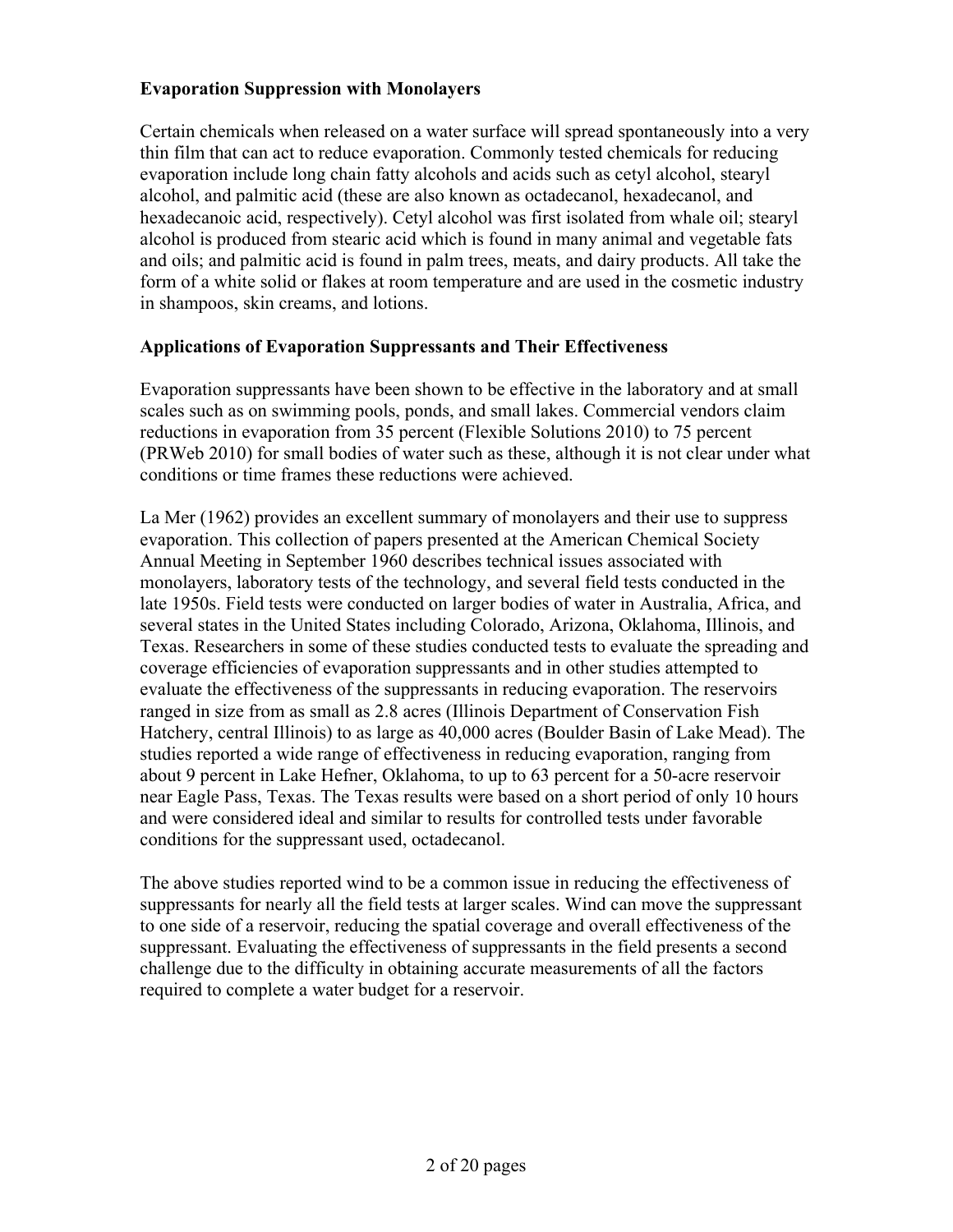## **Evaporation Suppression with Monolayers**

Certain chemicals when released on a water surface will spread spontaneously into a very thin film that can act to reduce evaporation. Commonly tested chemicals for reducing evaporation include long chain fatty alcohols and acids such as cetyl alcohol, stearyl alcohol, and palmitic acid (these are also known as octadecanol, hexadecanol, and hexadecanoic acid, respectively). Cetyl alcohol was first isolated from whale oil; stearyl alcohol is produced from stearic acid which is found in many animal and vegetable fats and oils; and palmitic acid is found in palm trees, meats, and dairy products. All take the form of a white solid or flakes at room temperature and are used in the cosmetic industry in shampoos, skin creams, and lotions.

## **Applications of Evaporation Suppressants and Their Effectiveness**

Evaporation suppressants have been shown to be effective in the laboratory and at small scales such as on swimming pools, ponds, and small lakes. Commercial vendors claim reductions in evaporation from 35 percent (Flexible Solutions 2010) to 75 percent (PRWeb 2010) for small bodies of water such as these, although it is not clear under what conditions or time frames these reductions were achieved.

La Mer (1962) provides an excellent summary of monolayers and their use to suppress evaporation. This collection of papers presented at the American Chemical Society Annual Meeting in September 1960 describes technical issues associated with monolayers, laboratory tests of the technology, and several field tests conducted in the late 1950s. Field tests were conducted on larger bodies of water in Australia, Africa, and several states in the United States including Colorado, Arizona, Oklahoma, Illinois, and Texas. Researchers in some of these studies conducted tests to evaluate the spreading and coverage efficiencies of evaporation suppressants and in other studies attempted to evaluate the effectiveness of the suppressants in reducing evaporation. The reservoirs ranged in size from as small as 2.8 acres (Illinois Department of Conservation Fish Hatchery, central Illinois) to as large as 40,000 acres (Boulder Basin of Lake Mead). The studies reported a wide range of effectiveness in reducing evaporation, ranging from about 9 percent in Lake Hefner, Oklahoma, to up to 63 percent for a 50-acre reservoir near Eagle Pass, Texas. The Texas results were based on a short period of only 10 hours and were considered ideal and similar to results for controlled tests under favorable conditions for the suppressant used, octadecanol.

The above studies reported wind to be a common issue in reducing the effectiveness of suppressants for nearly all the field tests at larger scales. Wind can move the suppressant to one side of a reservoir, reducing the spatial coverage and overall effectiveness of the suppressant. Evaluating the effectiveness of suppressants in the field presents a second challenge due to the difficulty in obtaining accurate measurements of all the factors required to complete a water budget for a reservoir.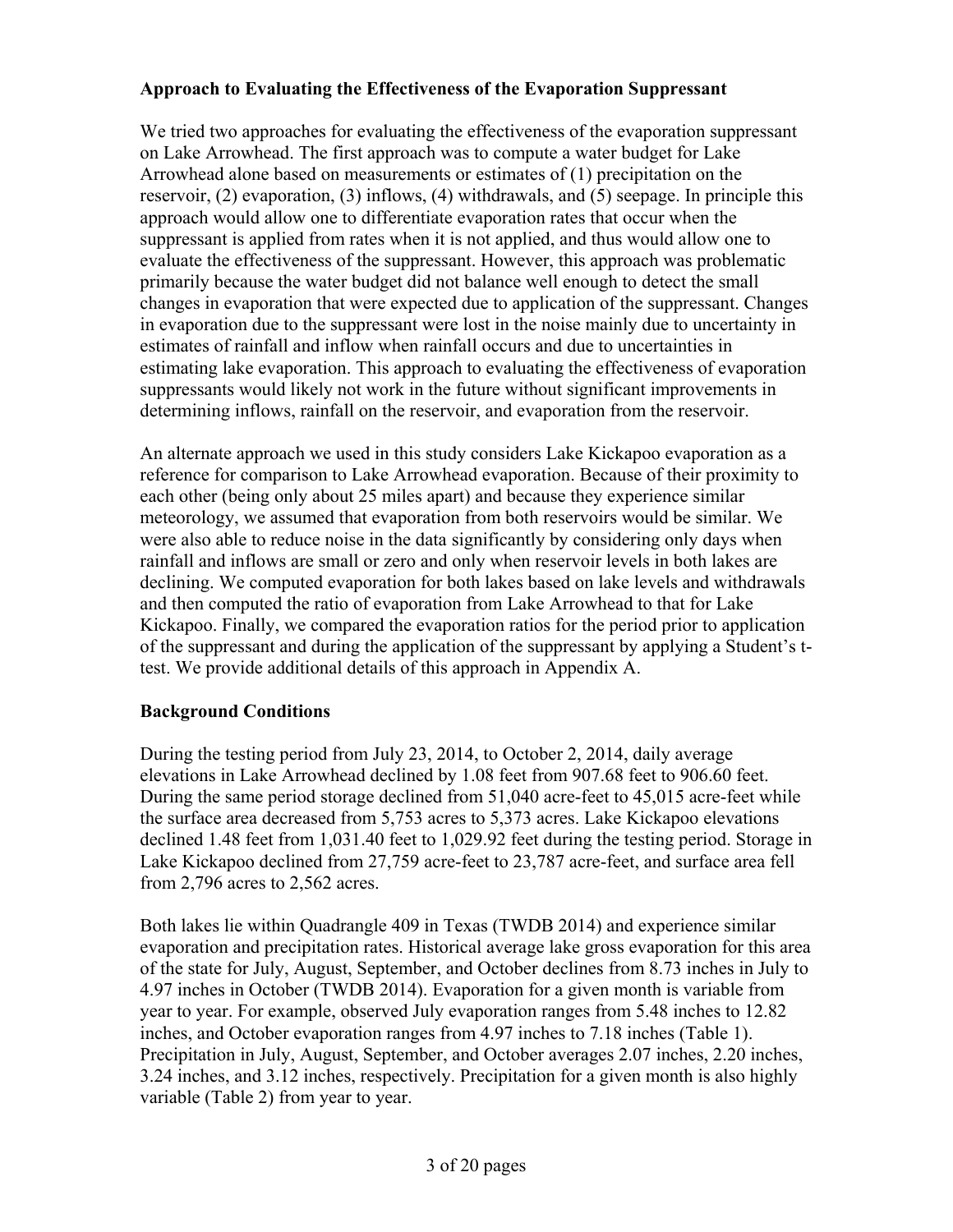## **Approach to Evaluating the Effectiveness of the Evaporation Suppressant**

We tried two approaches for evaluating the effectiveness of the evaporation suppressant on Lake Arrowhead. The first approach was to compute a water budget for Lake Arrowhead alone based on measurements or estimates of (1) precipitation on the reservoir, (2) evaporation, (3) inflows, (4) withdrawals, and (5) seepage. In principle this approach would allow one to differentiate evaporation rates that occur when the suppressant is applied from rates when it is not applied, and thus would allow one to evaluate the effectiveness of the suppressant. However, this approach was problematic primarily because the water budget did not balance well enough to detect the small changes in evaporation that were expected due to application of the suppressant. Changes in evaporation due to the suppressant were lost in the noise mainly due to uncertainty in estimates of rainfall and inflow when rainfall occurs and due to uncertainties in estimating lake evaporation. This approach to evaluating the effectiveness of evaporation suppressants would likely not work in the future without significant improvements in determining inflows, rainfall on the reservoir, and evaporation from the reservoir.

An alternate approach we used in this study considers Lake Kickapoo evaporation as a reference for comparison to Lake Arrowhead evaporation. Because of their proximity to each other (being only about 25 miles apart) and because they experience similar meteorology, we assumed that evaporation from both reservoirs would be similar. We were also able to reduce noise in the data significantly by considering only days when rainfall and inflows are small or zero and only when reservoir levels in both lakes are declining. We computed evaporation for both lakes based on lake levels and withdrawals and then computed the ratio of evaporation from Lake Arrowhead to that for Lake Kickapoo. Finally, we compared the evaporation ratios for the period prior to application of the suppressant and during the application of the suppressant by applying a Student's ttest. We provide additional details of this approach in Appendix A.

## **Background Conditions**

During the testing period from July 23, 2014, to October 2, 2014, daily average elevations in Lake Arrowhead declined by 1.08 feet from 907.68 feet to 906.60 feet. During the same period storage declined from 51,040 acre-feet to 45,015 acre-feet while the surface area decreased from 5,753 acres to 5,373 acres. Lake Kickapoo elevations declined 1.48 feet from 1,031.40 feet to 1,029.92 feet during the testing period. Storage in Lake Kickapoo declined from 27,759 acre-feet to 23,787 acre-feet, and surface area fell from 2,796 acres to 2,562 acres.

Both lakes lie within Quadrangle 409 in Texas (TWDB 2014) and experience similar evaporation and precipitation rates. Historical average lake gross evaporation for this area of the state for July, August, September, and October declines from 8.73 inches in July to 4.97 inches in October (TWDB 2014). Evaporation for a given month is variable from year to year. For example, observed July evaporation ranges from 5.48 inches to 12.82 inches, and October evaporation ranges from 4.97 inches to 7.18 inches (Table 1). Precipitation in July, August, September, and October averages 2.07 inches, 2.20 inches, 3.24 inches, and 3.12 inches, respectively. Precipitation for a given month is also highly variable (Table 2) from year to year.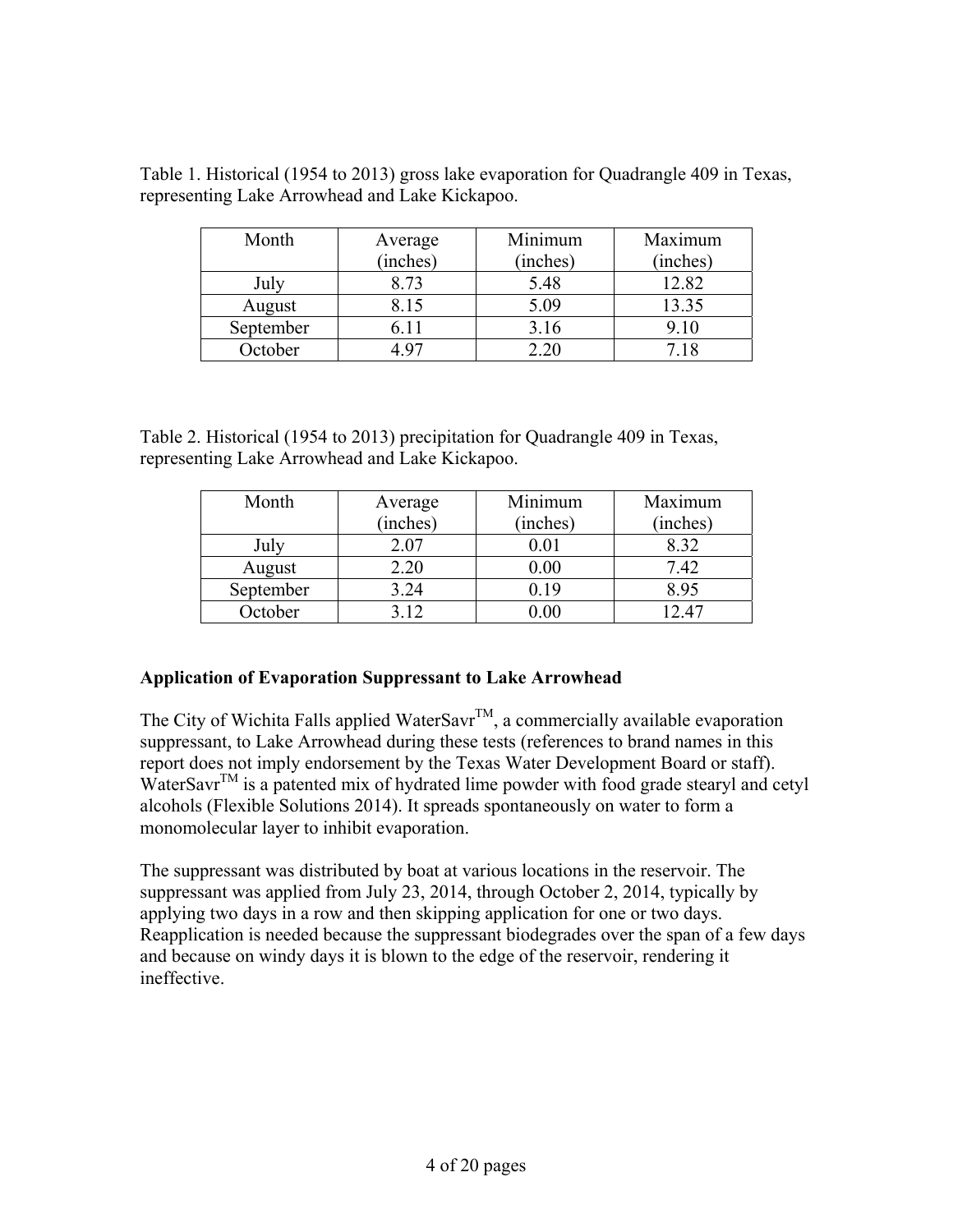| Month     | Average<br>(inches) | Minimum<br>(inches) | Maximum<br>(inches) |
|-----------|---------------------|---------------------|---------------------|
| July      | 8.73                | 5.48                | 12.82               |
| August    | 8.15                | 5.09                | 13.35               |
| September | 6.11                | 3.16                | 9.10                |
| October   |                     |                     | 7.18                |

Table 1. Historical (1954 to 2013) gross lake evaporation for Quadrangle 409 in Texas, representing Lake Arrowhead and Lake Kickapoo.

Table 2. Historical (1954 to 2013) precipitation for Quadrangle 409 in Texas, representing Lake Arrowhead and Lake Kickapoo.

| Month     | Average    | Minimum  | Maximum  |
|-----------|------------|----------|----------|
|           | (inches)   | (inches) | (inches) |
| July      | 2.07       | 0.01     | 8.32     |
| August    | 2.20       | $0.00\,$ | 7.42     |
| September | 3.24       | N 19     | 8.95     |
| October   | $\cdot$ 12 |          | 1247     |

# **Application of Evaporation Suppressant to Lake Arrowhead**

The City of Wichita Falls applied WaterSavr<sup>TM</sup>, a commercially available evaporation suppressant, to Lake Arrowhead during these tests (references to brand names in this report does not imply endorsement by the Texas Water Development Board or staff). WaterSavr<sup>TM</sup> is a patented mix of hydrated lime powder with food grade stearyl and cetyl alcohols (Flexible Solutions 2014). It spreads spontaneously on water to form a monomolecular layer to inhibit evaporation.

The suppressant was distributed by boat at various locations in the reservoir. The suppressant was applied from July 23, 2014, through October 2, 2014, typically by applying two days in a row and then skipping application for one or two days. Reapplication is needed because the suppressant biodegrades over the span of a few days and because on windy days it is blown to the edge of the reservoir, rendering it ineffective.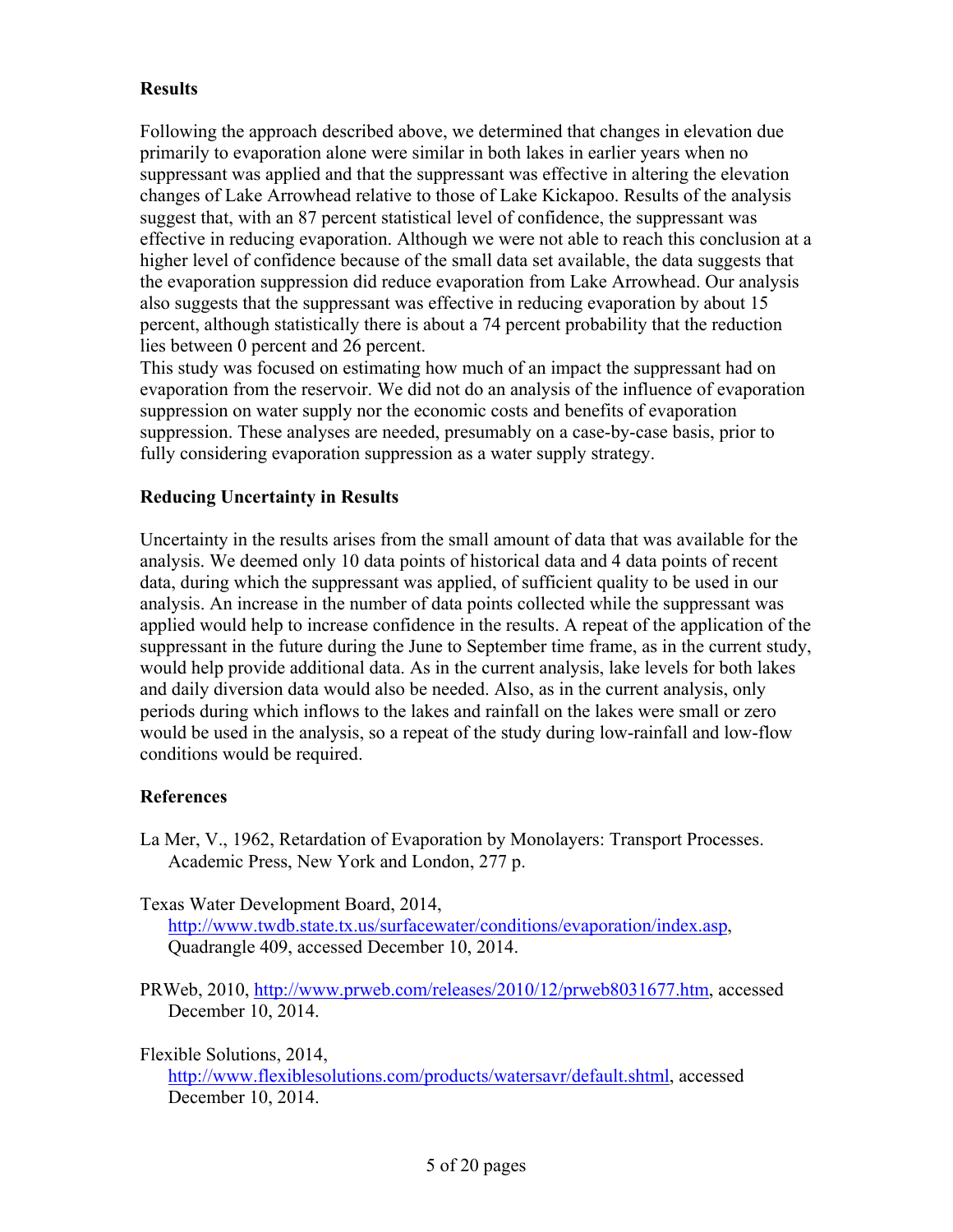## **Results**

Following the approach described above, we determined that changes in elevation due primarily to evaporation alone were similar in both lakes in earlier years when no suppressant was applied and that the suppressant was effective in altering the elevation changes of Lake Arrowhead relative to those of Lake Kickapoo. Results of the analysis suggest that, with an 87 percent statistical level of confidence, the suppressant was effective in reducing evaporation. Although we were not able to reach this conclusion at a higher level of confidence because of the small data set available, the data suggests that the evaporation suppression did reduce evaporation from Lake Arrowhead. Our analysis also suggests that the suppressant was effective in reducing evaporation by about 15 percent, although statistically there is about a 74 percent probability that the reduction lies between 0 percent and 26 percent.

This study was focused on estimating how much of an impact the suppressant had on evaporation from the reservoir. We did not do an analysis of the influence of evaporation suppression on water supply nor the economic costs and benefits of evaporation suppression. These analyses are needed, presumably on a case-by-case basis, prior to fully considering evaporation suppression as a water supply strategy.

## **Reducing Uncertainty in Results**

Uncertainty in the results arises from the small amount of data that was available for the analysis. We deemed only 10 data points of historical data and 4 data points of recent data, during which the suppressant was applied, of sufficient quality to be used in our analysis. An increase in the number of data points collected while the suppressant was applied would help to increase confidence in the results. A repeat of the application of the suppressant in the future during the June to September time frame, as in the current study, would help provide additional data. As in the current analysis, lake levels for both lakes and daily diversion data would also be needed. Also, as in the current analysis, only periods during which inflows to the lakes and rainfall on the lakes were small or zero would be used in the analysis, so a repeat of the study during low-rainfall and low-flow conditions would be required.

## **References**

La Mer, V., 1962, Retardation of Evaporation by Monolayers: Transport Processes. Academic Press, New York and London, 277 p.

Texas Water Development Board, 2014,

http://www.twdb.state.tx.us/surfacewater/conditions/evaporation/index.asp, Quadrangle 409, accessed December 10, 2014.

PRWeb, 2010, http://www.prweb.com/releases/2010/12/prweb8031677.htm, accessed December 10, 2014.

Flexible Solutions, 2014,

http://www.flexiblesolutions.com/products/watersavr/default.shtml, accessed December 10, 2014.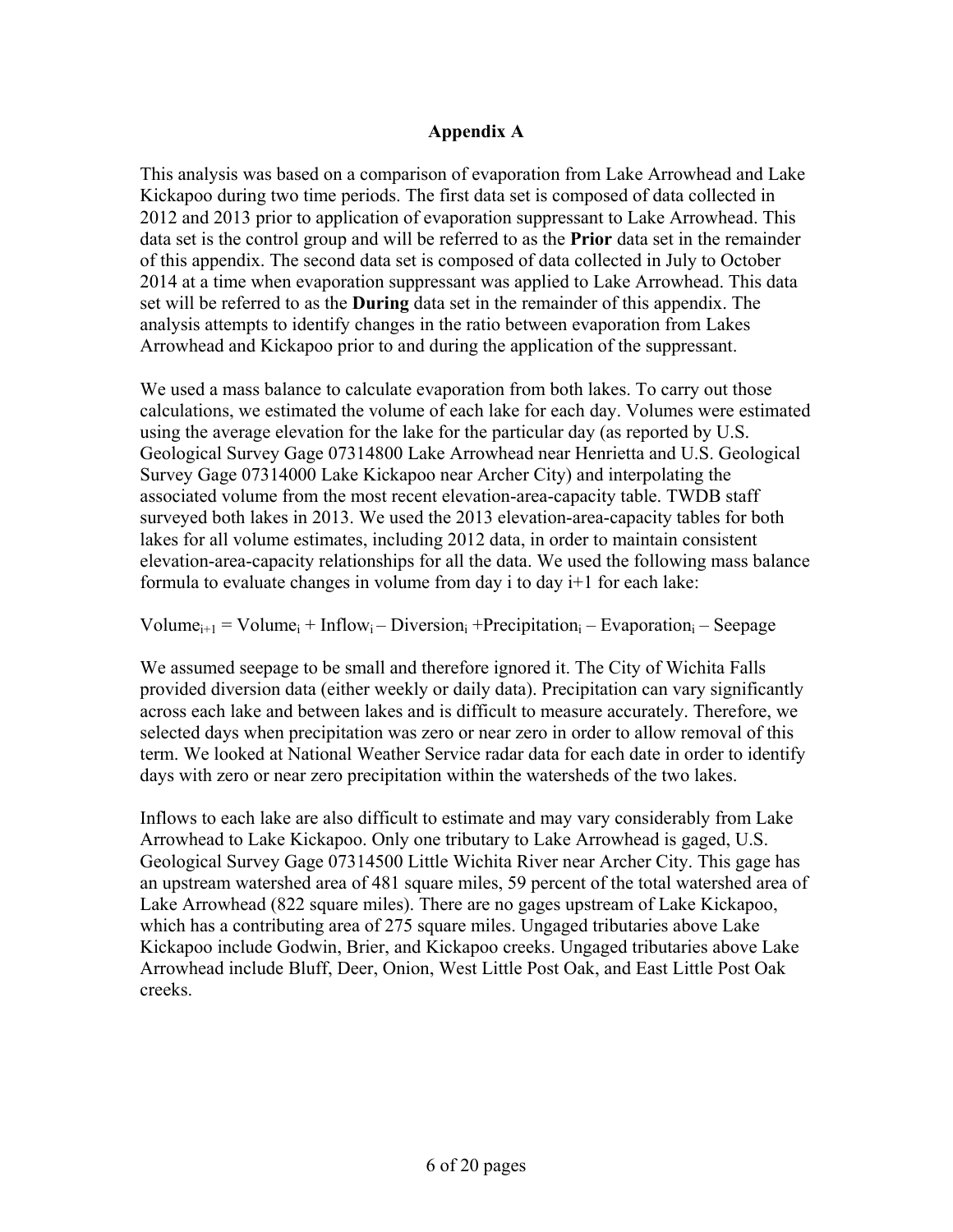## **Appendix A**

This analysis was based on a comparison of evaporation from Lake Arrowhead and Lake Kickapoo during two time periods. The first data set is composed of data collected in 2012 and 2013 prior to application of evaporation suppressant to Lake Arrowhead. This data set is the control group and will be referred to as the **Prior** data set in the remainder of this appendix. The second data set is composed of data collected in July to October 2014 at a time when evaporation suppressant was applied to Lake Arrowhead. This data set will be referred to as the **During** data set in the remainder of this appendix. The analysis attempts to identify changes in the ratio between evaporation from Lakes Arrowhead and Kickapoo prior to and during the application of the suppressant.

We used a mass balance to calculate evaporation from both lakes. To carry out those calculations, we estimated the volume of each lake for each day. Volumes were estimated using the average elevation for the lake for the particular day (as reported by U.S. Geological Survey Gage 07314800 Lake Arrowhead near Henrietta and U.S. Geological Survey Gage 07314000 Lake Kickapoo near Archer City) and interpolating the associated volume from the most recent elevation-area-capacity table. TWDB staff surveyed both lakes in 2013. We used the 2013 elevation-area-capacity tables for both lakes for all volume estimates, including 2012 data, in order to maintain consistent elevation-area-capacity relationships for all the data. We used the following mass balance formula to evaluate changes in volume from day i to day i+1 for each lake:

## Volume<sub>i+1</sub> = Volume<sub>i</sub> + Inflow<sub>i</sub> – Diversion<sub>i</sub> + Precipitation<sub>i</sub> – Evaporation<sub>i</sub> – Seepage

We assumed seepage to be small and therefore ignored it. The City of Wichita Falls provided diversion data (either weekly or daily data). Precipitation can vary significantly across each lake and between lakes and is difficult to measure accurately. Therefore, we selected days when precipitation was zero or near zero in order to allow removal of this term. We looked at National Weather Service radar data for each date in order to identify days with zero or near zero precipitation within the watersheds of the two lakes.

Inflows to each lake are also difficult to estimate and may vary considerably from Lake Arrowhead to Lake Kickapoo. Only one tributary to Lake Arrowhead is gaged, U.S. Geological Survey Gage 07314500 Little Wichita River near Archer City. This gage has an upstream watershed area of 481 square miles, 59 percent of the total watershed area of Lake Arrowhead (822 square miles). There are no gages upstream of Lake Kickapoo, which has a contributing area of 275 square miles. Ungaged tributaries above Lake Kickapoo include Godwin, Brier, and Kickapoo creeks. Ungaged tributaries above Lake Arrowhead include Bluff, Deer, Onion, West Little Post Oak, and East Little Post Oak creeks.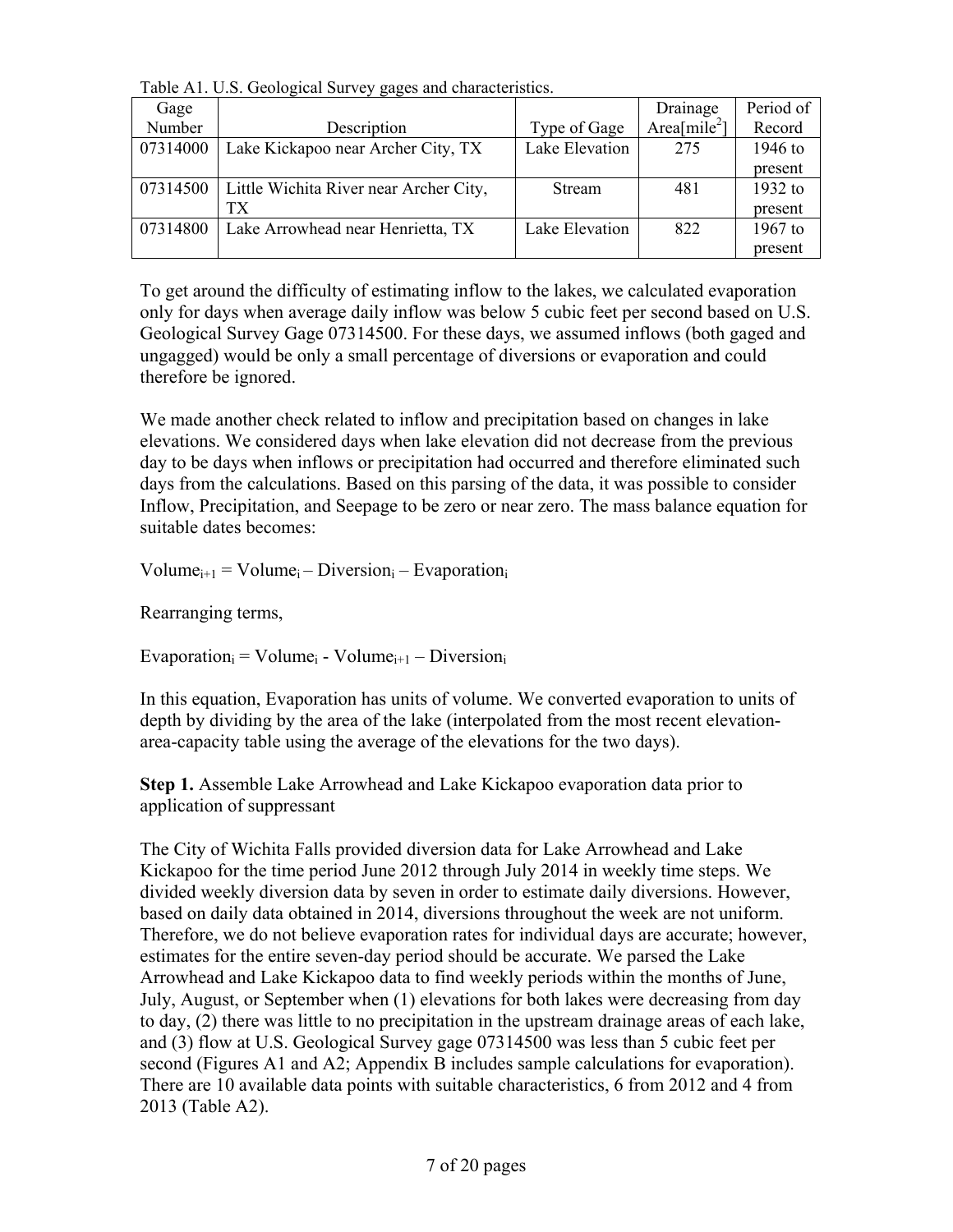Table A1. U.S. Geological Survey gages and characteristics.

| Gage     |                                        |                | Drainage                 | Period of |
|----------|----------------------------------------|----------------|--------------------------|-----------|
| Number   | Description                            | Type of Gage   | Area[mile <sup>2</sup> ] | Record    |
| 07314000 | Lake Kickapoo near Archer City, TX     | Lake Elevation | 275                      | 1946 to   |
|          |                                        |                |                          | present   |
| 07314500 | Little Wichita River near Archer City, | Stream         | 481                      | 1932 to   |
|          | TХ                                     |                |                          | present   |
| 07314800 | Lake Arrowhead near Henrietta, TX      | Lake Elevation | 822                      | $1967$ to |
|          |                                        |                |                          | present   |

To get around the difficulty of estimating inflow to the lakes, we calculated evaporation only for days when average daily inflow was below 5 cubic feet per second based on U.S. Geological Survey Gage 07314500. For these days, we assumed inflows (both gaged and ungagged) would be only a small percentage of diversions or evaporation and could therefore be ignored.

We made another check related to inflow and precipitation based on changes in lake elevations. We considered days when lake elevation did not decrease from the previous day to be days when inflows or precipitation had occurred and therefore eliminated such days from the calculations. Based on this parsing of the data, it was possible to consider Inflow, Precipitation, and Seepage to be zero or near zero. The mass balance equation for suitable dates becomes:

 $Volume_{i+1} = Volume_i - Diversion_i - Evaporation_i$ 

Rearranging terms,

 $Evaporation<sub>i</sub> = Volume<sub>i</sub> - Volume<sub>i+1</sub> - Diversion<sub>i</sub>$ 

In this equation, Evaporation has units of volume. We converted evaporation to units of depth by dividing by the area of the lake (interpolated from the most recent elevationarea-capacity table using the average of the elevations for the two days).

**Step 1.** Assemble Lake Arrowhead and Lake Kickapoo evaporation data prior to application of suppressant

The City of Wichita Falls provided diversion data for Lake Arrowhead and Lake Kickapoo for the time period June 2012 through July 2014 in weekly time steps. We divided weekly diversion data by seven in order to estimate daily diversions. However, based on daily data obtained in 2014, diversions throughout the week are not uniform. Therefore, we do not believe evaporation rates for individual days are accurate; however, estimates for the entire seven-day period should be accurate. We parsed the Lake Arrowhead and Lake Kickapoo data to find weekly periods within the months of June, July, August, or September when (1) elevations for both lakes were decreasing from day to day, (2) there was little to no precipitation in the upstream drainage areas of each lake, and (3) flow at U.S. Geological Survey gage 07314500 was less than 5 cubic feet per second (Figures A1 and A2; Appendix B includes sample calculations for evaporation). There are 10 available data points with suitable characteristics, 6 from 2012 and 4 from 2013 (Table A2).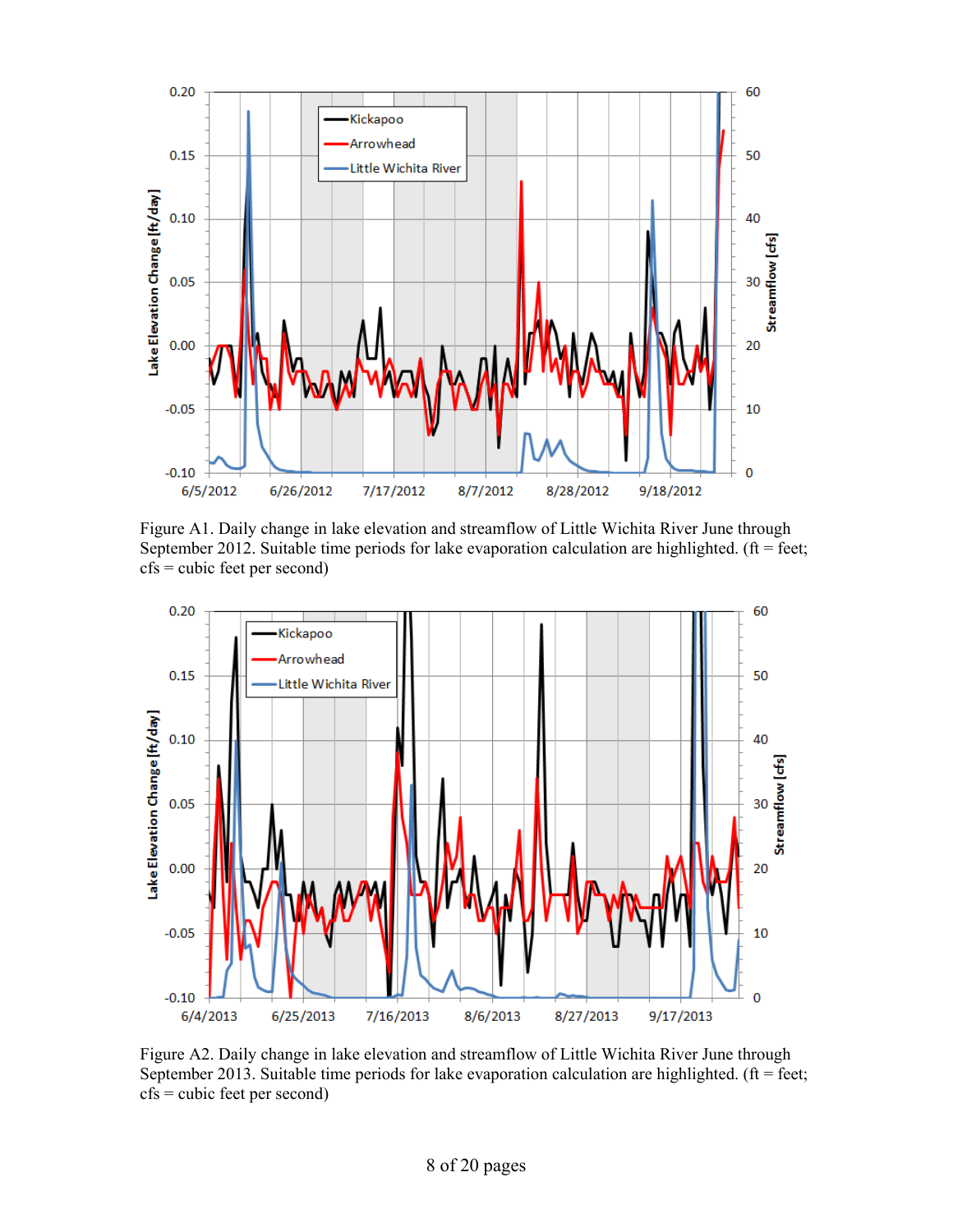

Figure A1. Daily change in lake elevation and streamflow of Little Wichita River June through September 2012. Suitable time periods for lake evaporation calculation are highlighted. ( $ft = feet$ ;  $cfs = cubic$  feet per second)



Figure A2. Daily change in lake elevation and streamflow of Little Wichita River June through September 2013. Suitable time periods for lake evaporation calculation are highlighted. ( $ft = feet$ ; cfs = cubic feet per second)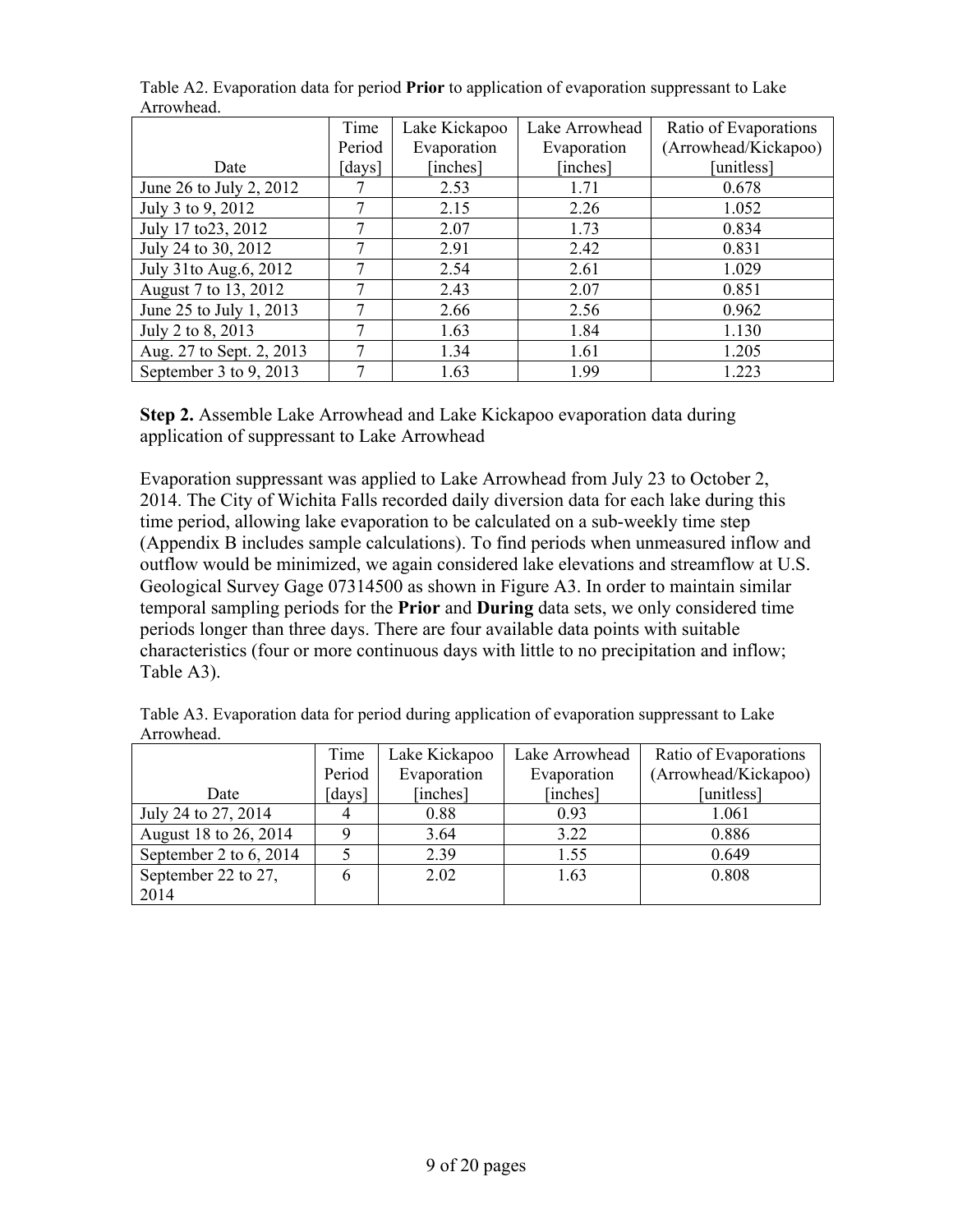|                          | Time   | Lake Kickapoo | Lake Arrowhead | Ratio of Evaporations |
|--------------------------|--------|---------------|----------------|-----------------------|
|                          | Period | Evaporation   | Evaporation    | (Arrowhead/Kickapoo)  |
| Date                     | [days] | [inches]      | [inches]       | unitless1             |
| June 26 to July 2, 2012  |        | 2.53          | 1.71           | 0.678                 |
| July 3 to 9, 2012        | 7      | 2.15          | 2.26           | 1.052                 |
| July 17 to 23, 2012      | 7      | 2.07          | 1.73           | 0.834                 |
| July 24 to 30, 2012      | 7      | 2.91          | 2.42           | 0.831                 |
| July 31to Aug.6, 2012    | 7      | 2.54          | 2.61           | 1.029                 |
| August 7 to 13, 2012     | 7      | 2.43          | 2.07           | 0.851                 |
| June 25 to July 1, 2013  | 7      | 2.66          | 2.56           | 0.962                 |
| July 2 to 8, 2013        | 7      | 1.63          | 1.84           | 1.130                 |
| Aug. 27 to Sept. 2, 2013 | 7      | 1.34          | 1.61           | 1.205                 |
| September 3 to 9, 2013   | 7      | 1.63          | 1.99           | 1.223                 |

Table A2. Evaporation data for period **Prior** to application of evaporation suppressant to Lake Arrowhead.

**Step 2.** Assemble Lake Arrowhead and Lake Kickapoo evaporation data during application of suppressant to Lake Arrowhead

Evaporation suppressant was applied to Lake Arrowhead from July 23 to October 2, 2014. The City of Wichita Falls recorded daily diversion data for each lake during this time period, allowing lake evaporation to be calculated on a sub-weekly time step (Appendix B includes sample calculations). To find periods when unmeasured inflow and outflow would be minimized, we again considered lake elevations and streamflow at U.S. Geological Survey Gage 07314500 as shown in Figure A3. In order to maintain similar temporal sampling periods for the **Prior** and **During** data sets, we only considered time periods longer than three days. There are four available data points with suitable characteristics (four or more continuous days with little to no precipitation and inflow; Table A3).

| 7 ruo wikaa.             |        |               |                |                       |
|--------------------------|--------|---------------|----------------|-----------------------|
|                          | Time   | Lake Kickapoo | Lake Arrowhead | Ratio of Evaporations |
|                          | Period | Evaporation   | Evaporation    | (Arrowhead/Kickapoo)  |
| Date                     | [days] | [inches]      | [inches]       | [unitless]            |
| July 24 to 27, 2014      |        | 0.88          | 0.93           | 1.061                 |
| August 18 to 26, 2014    |        | 3.64          | 3.22           | 0.886                 |
| September 2 to $6, 2014$ |        | 2.39          | 1.55           | 0.649                 |
| September 22 to 27,      |        | 2.02          | 1.63           | 0.808                 |
| 2014                     |        |               |                |                       |

Table A3. Evaporation data for period during application of evaporation suppressant to Lake Arrowhead.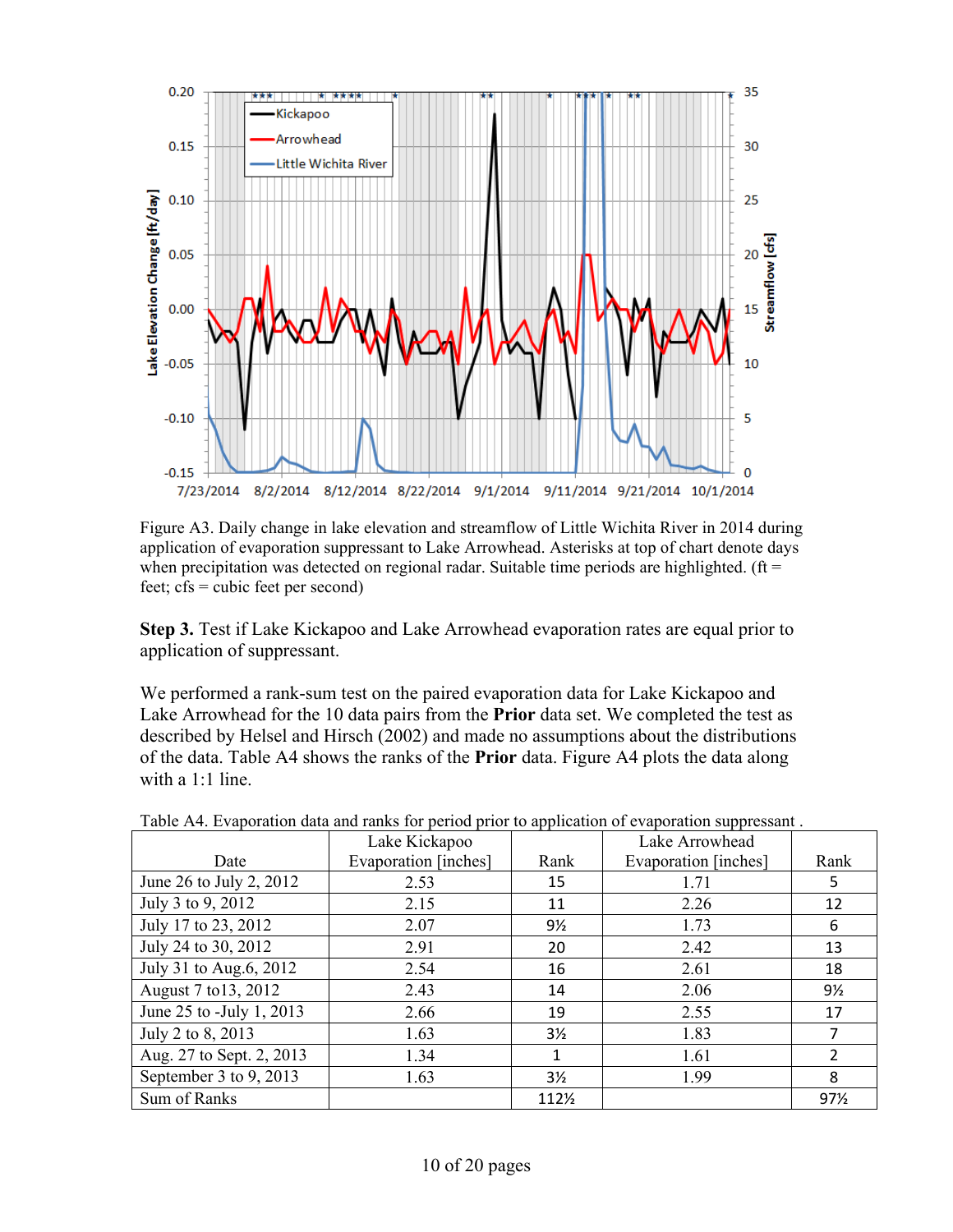

Figure A3. Daily change in lake elevation and streamflow of Little Wichita River in 2014 during application of evaporation suppressant to Lake Arrowhead. Asterisks at top of chart denote days when precipitation was detected on regional radar. Suitable time periods are highlighted. ( $ft =$ feet; cfs = cubic feet per second)

**Step 3.** Test if Lake Kickapoo and Lake Arrowhead evaporation rates are equal prior to application of suppressant.

We performed a rank-sum test on the paired evaporation data for Lake Kickapoo and Lake Arrowhead for the 10 data pairs from the **Prior** data set. We completed the test as described by Helsel and Hirsch (2002) and made no assumptions about the distributions of the data. Table A4 shows the ranks of the **Prior** data. Figure A4 plots the data along with a 1:1 line.

|                          | Lake Kickapoo        |                | Lake Arrowhead       |                |
|--------------------------|----------------------|----------------|----------------------|----------------|
| Date                     | Evaporation [inches] | Rank           | Evaporation [inches] | Rank           |
| June 26 to July 2, 2012  | 2.53                 | 15             | 1.71                 | 5              |
| July 3 to 9, 2012        | 2.15                 | 11             | 2.26                 | 12             |
| July 17 to 23, 2012      | 2.07                 | 9½             | 1.73                 | 6              |
| July 24 to 30, 2012      | 2.91                 | 20             | 2.42                 | 13             |
| July 31 to Aug.6, 2012   | 2.54                 | 16             | 2.61                 | 18             |
| August 7 to 13, 2012     | 2.43                 | 14             | 2.06                 | 9½             |
| June 25 to -July 1, 2013 | 2.66                 | 19             | 2.55                 | 17             |
| July 2 to 8, 2013        | 1.63                 | $3\frac{1}{2}$ | 1.83                 | 7              |
| Aug. 27 to Sept. 2, 2013 | 1.34                 | 1              | 1.61                 | $\overline{2}$ |
| September 3 to 9, 2013   | 1.63                 | $3\frac{1}{2}$ | 1.99                 | 8              |
| Sum of Ranks             |                      | 112½           |                      | 97%            |

Table A4. Evaporation data and ranks for period prior to application of evaporation suppressant .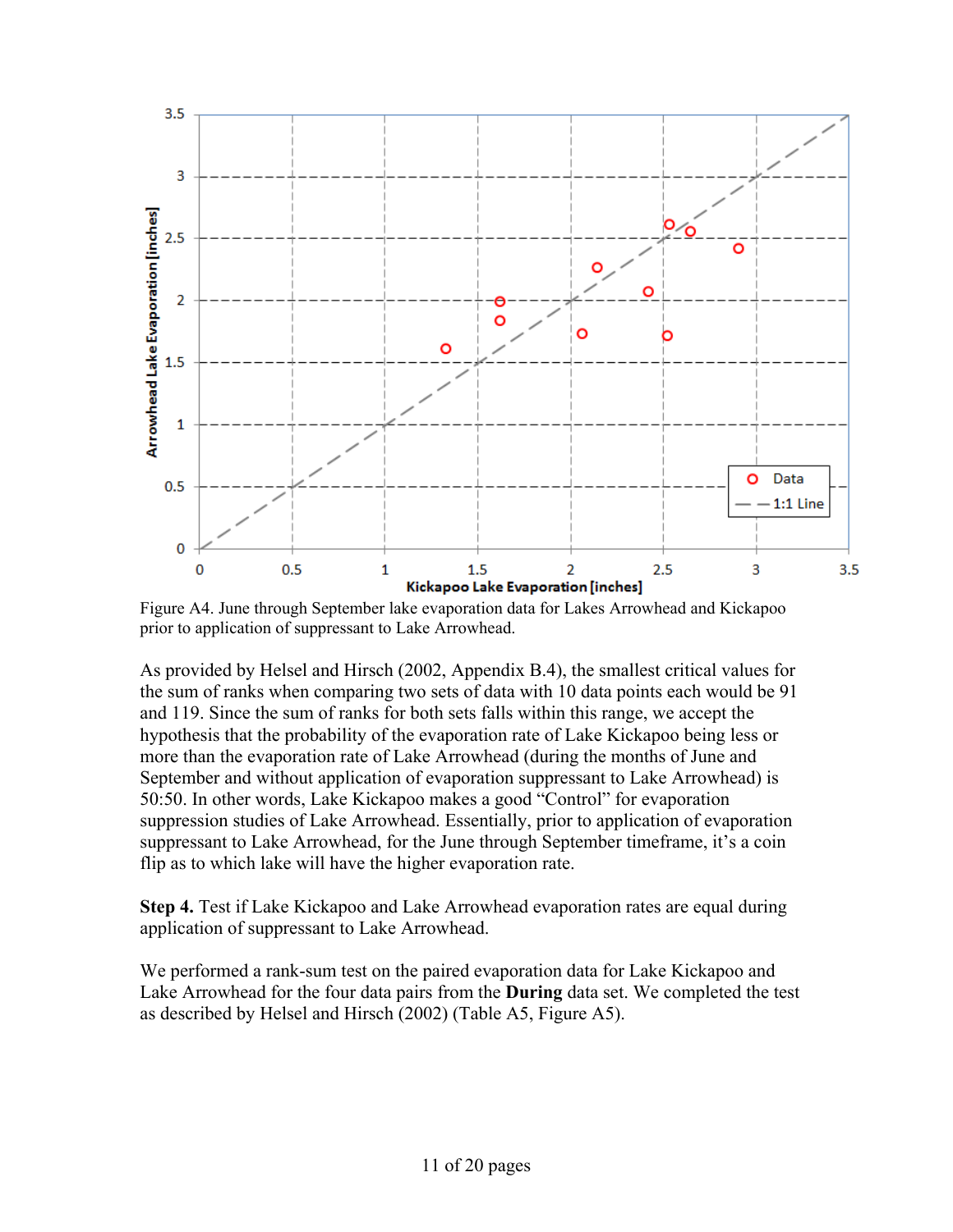

Figure A4. June through September lake evaporation data for Lakes Arrowhead and Kickapoo prior to application of suppressant to Lake Arrowhead.

As provided by Helsel and Hirsch (2002, Appendix B.4), the smallest critical values for the sum of ranks when comparing two sets of data with 10 data points each would be 91 and 119. Since the sum of ranks for both sets falls within this range, we accept the hypothesis that the probability of the evaporation rate of Lake Kickapoo being less or more than the evaporation rate of Lake Arrowhead (during the months of June and September and without application of evaporation suppressant to Lake Arrowhead) is 50:50. In other words, Lake Kickapoo makes a good "Control" for evaporation suppression studies of Lake Arrowhead. Essentially, prior to application of evaporation suppressant to Lake Arrowhead, for the June through September timeframe, it's a coin flip as to which lake will have the higher evaporation rate.

**Step 4.** Test if Lake Kickapoo and Lake Arrowhead evaporation rates are equal during application of suppressant to Lake Arrowhead.

We performed a rank-sum test on the paired evaporation data for Lake Kickapoo and Lake Arrowhead for the four data pairs from the **During** data set. We completed the test as described by Helsel and Hirsch (2002) (Table A5, Figure A5).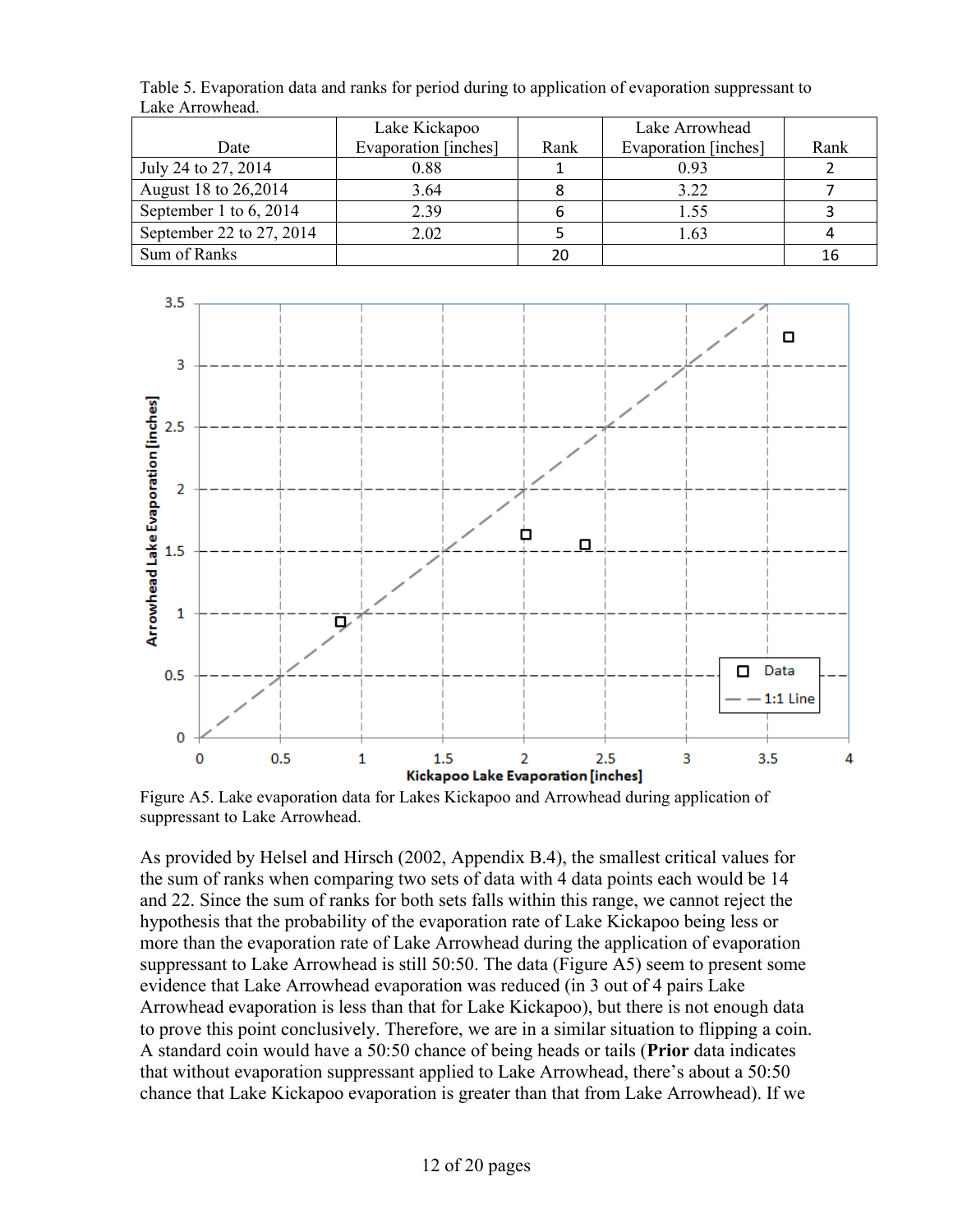|                          | Lake Kickapoo        |      | Lake Arrowhead       |      |
|--------------------------|----------------------|------|----------------------|------|
| Date                     | Evaporation [inches] | Rank | Evaporation [inches] | Rank |
| July 24 to 27, 2014      | 0.88                 |      | 0.93                 |      |
| August 18 to 26,2014     | 3.64                 |      | 3.22                 |      |
| September 1 to $6, 2014$ | 2.39                 |      | 1.55                 |      |
| September 22 to 27, 2014 | 2.02                 |      | 1.63                 |      |
| Sum of Ranks             |                      | 20   |                      | 16   |

Table 5. Evaporation data and ranks for period during to application of evaporation suppressant to Lake Arrowhead.



Figure A5. Lake evaporation data for Lakes Kickapoo and Arrowhead during application of suppressant to Lake Arrowhead.

As provided by Helsel and Hirsch (2002, Appendix B.4), the smallest critical values for the sum of ranks when comparing two sets of data with 4 data points each would be 14 and 22. Since the sum of ranks for both sets falls within this range, we cannot reject the hypothesis that the probability of the evaporation rate of Lake Kickapoo being less or more than the evaporation rate of Lake Arrowhead during the application of evaporation suppressant to Lake Arrowhead is still 50:50. The data (Figure A5) seem to present some evidence that Lake Arrowhead evaporation was reduced (in 3 out of 4 pairs Lake Arrowhead evaporation is less than that for Lake Kickapoo), but there is not enough data to prove this point conclusively. Therefore, we are in a similar situation to flipping a coin. A standard coin would have a 50:50 chance of being heads or tails (**Prior** data indicates that without evaporation suppressant applied to Lake Arrowhead, there's about a 50:50 chance that Lake Kickapoo evaporation is greater than that from Lake Arrowhead). If we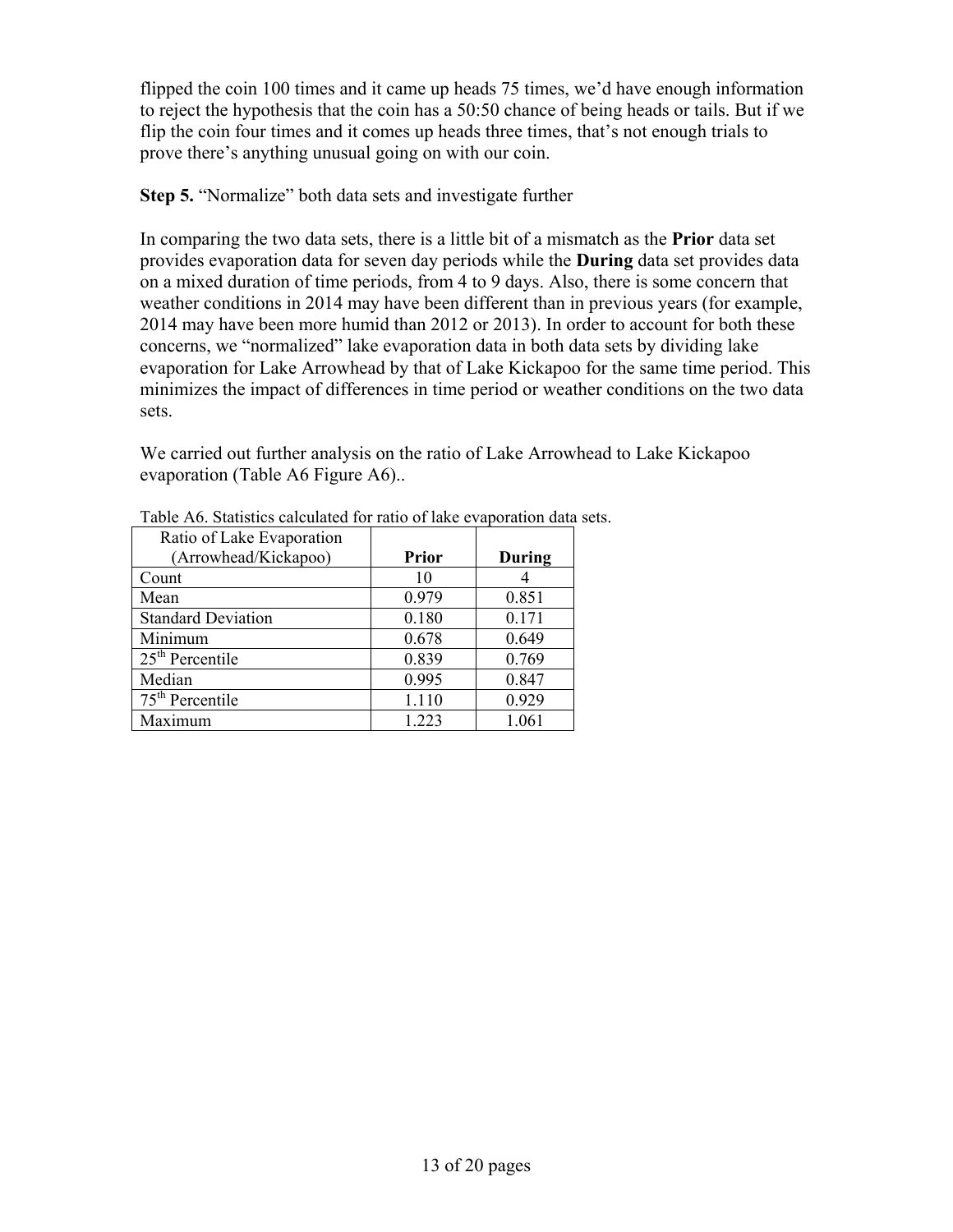flipped the coin 100 times and it came up heads 75 times, we'd have enough information to reject the hypothesis that the coin has a 50:50 chance of being heads or tails. But if we flip the coin four times and it comes up heads three times, that's not enough trials to prove there's anything unusual going on with our coin.

**Step 5.** "Normalize" both data sets and investigate further

In comparing the two data sets, there is a little bit of a mismatch as the **Prior** data set provides evaporation data for seven day periods while the **During** data set provides data on a mixed duration of time periods, from 4 to 9 days. Also, there is some concern that weather conditions in 2014 may have been different than in previous years (for example, 2014 may have been more humid than 2012 or 2013). In order to account for both these concerns, we "normalized" lake evaporation data in both data sets by dividing lake evaporation for Lake Arrowhead by that of Lake Kickapoo for the same time period. This minimizes the impact of differences in time period or weather conditions on the two data sets.

We carried out further analysis on the ratio of Lake Arrowhead to Lake Kickapoo evaporation (Table A6 Figure A6)..

| Ratio of Lake Evaporation |              |        |
|---------------------------|--------------|--------|
| (Arrowhead/Kickapoo)      | <b>Prior</b> | During |
| Count                     | 10           |        |
| Mean                      | 0.979        | 0.851  |
| <b>Standard Deviation</b> | 0.180        | 0.171  |
| Minimum                   | 0.678        | 0.649  |
| $25th$ Percentile         | 0.839        | 0.769  |
| Median                    | 0.995        | 0.847  |
| $75th$ Percentile         | 1.110        | 0.929  |
| Maximum                   | 1.223        | 1.061  |

Table A6. Statistics calculated for ratio of lake evaporation data sets.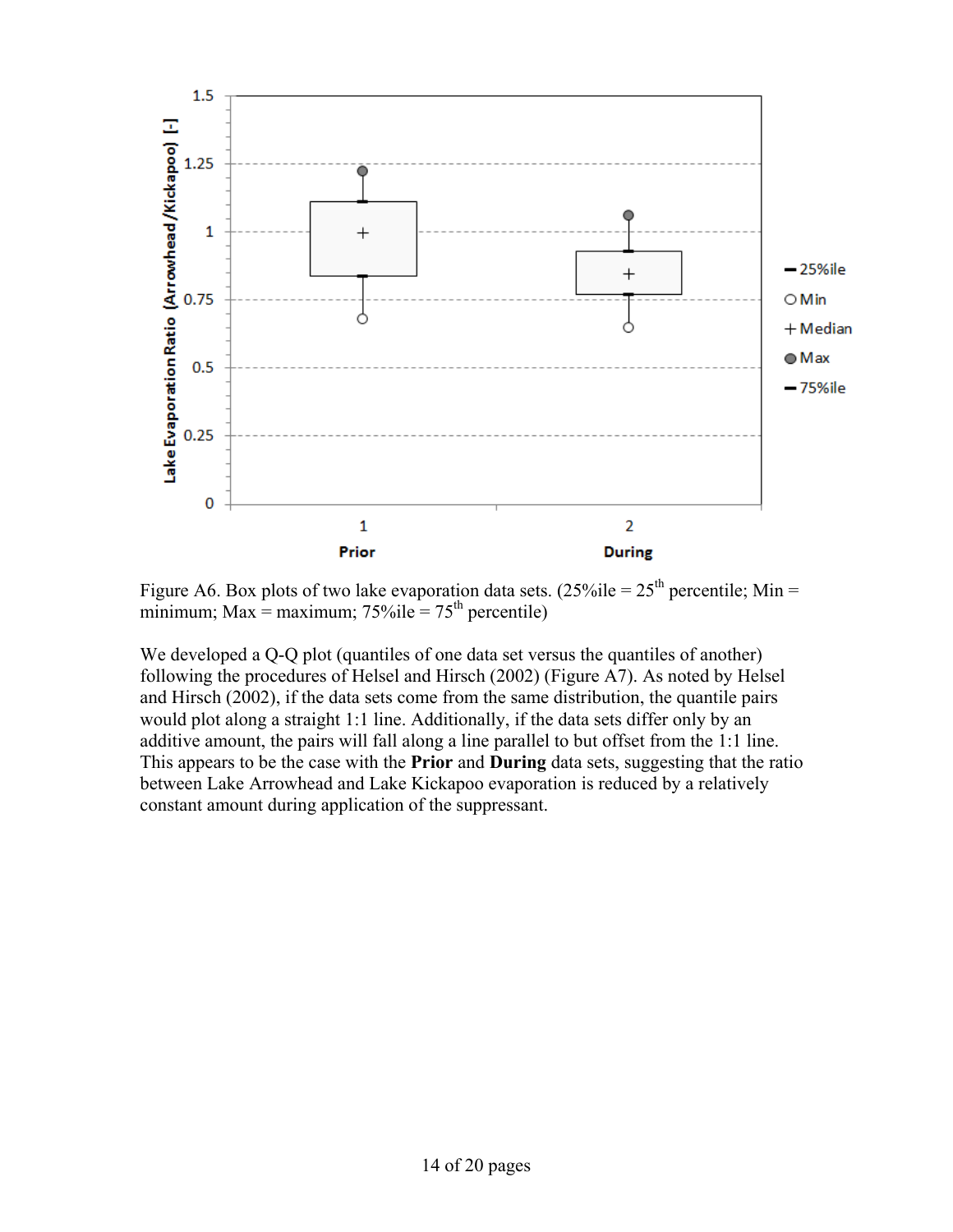

Figure A6. Box plots of two lake evaporation data sets.  $(25\%$ ile =  $25<sup>th</sup>$  percentile; Min = minimum; Max = maximum;  $75\%$ ile =  $75<sup>th</sup>$  percentile)

We developed a Q-Q plot (quantiles of one data set versus the quantiles of another) following the procedures of Helsel and Hirsch (2002) (Figure A7). As noted by Helsel and Hirsch (2002), if the data sets come from the same distribution, the quantile pairs would plot along a straight 1:1 line. Additionally, if the data sets differ only by an additive amount, the pairs will fall along a line parallel to but offset from the 1:1 line. This appears to be the case with the **Prior** and **During** data sets, suggesting that the ratio between Lake Arrowhead and Lake Kickapoo evaporation is reduced by a relatively constant amount during application of the suppressant.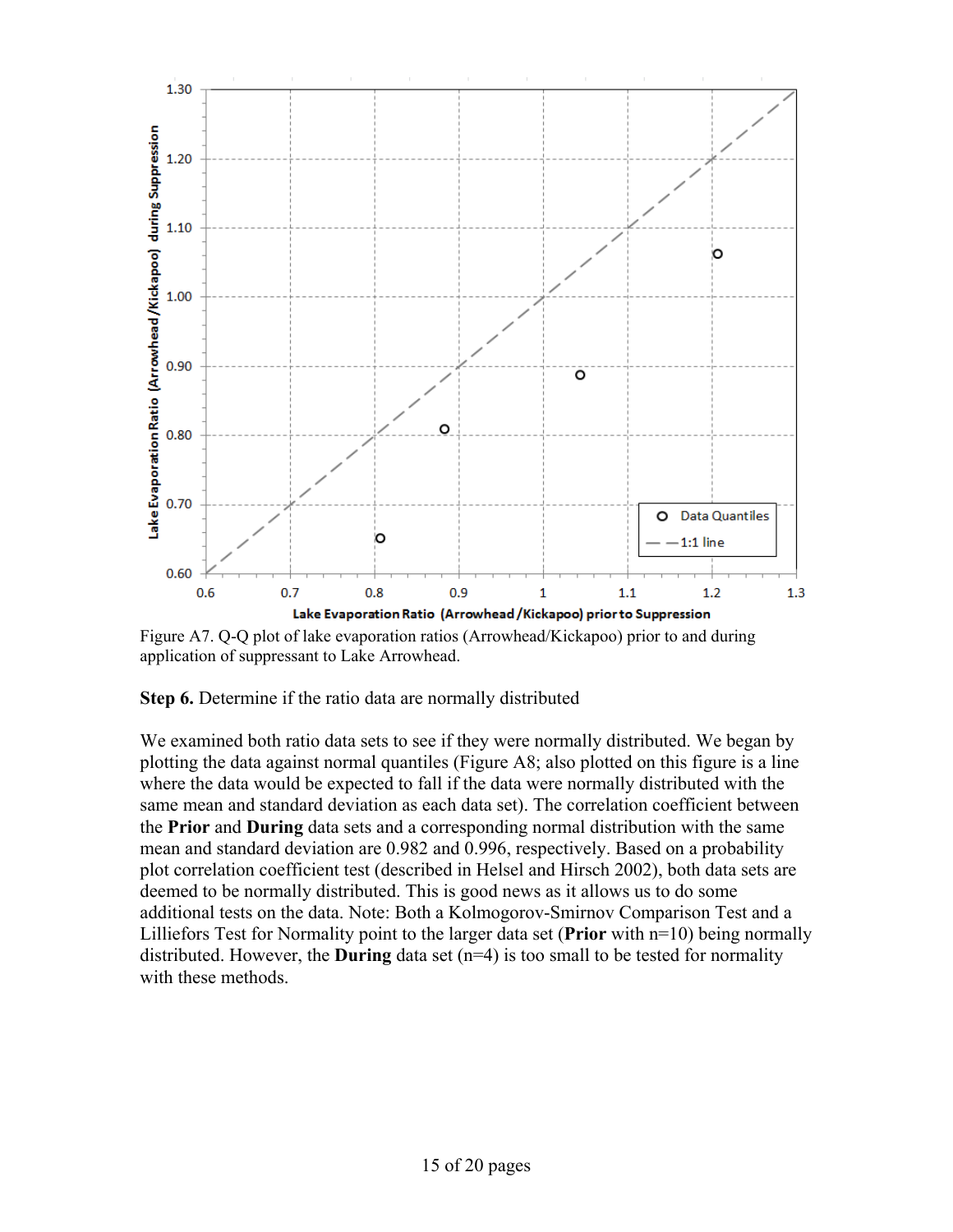

Figure A7. Q-Q plot of lake evaporation ratios (Arrowhead/Kickapoo) prior to and during application of suppressant to Lake Arrowhead.

**Step 6.** Determine if the ratio data are normally distributed

We examined both ratio data sets to see if they were normally distributed. We began by plotting the data against normal quantiles (Figure A8; also plotted on this figure is a line where the data would be expected to fall if the data were normally distributed with the same mean and standard deviation as each data set). The correlation coefficient between the **Prior** and **During** data sets and a corresponding normal distribution with the same mean and standard deviation are 0.982 and 0.996, respectively. Based on a probability plot correlation coefficient test (described in Helsel and Hirsch 2002), both data sets are deemed to be normally distributed. This is good news as it allows us to do some additional tests on the data. Note: Both a Kolmogorov-Smirnov Comparison Test and a Lilliefors Test for Normality point to the larger data set (**Prior** with n=10) being normally distributed. However, the **During** data set (n=4) is too small to be tested for normality with these methods.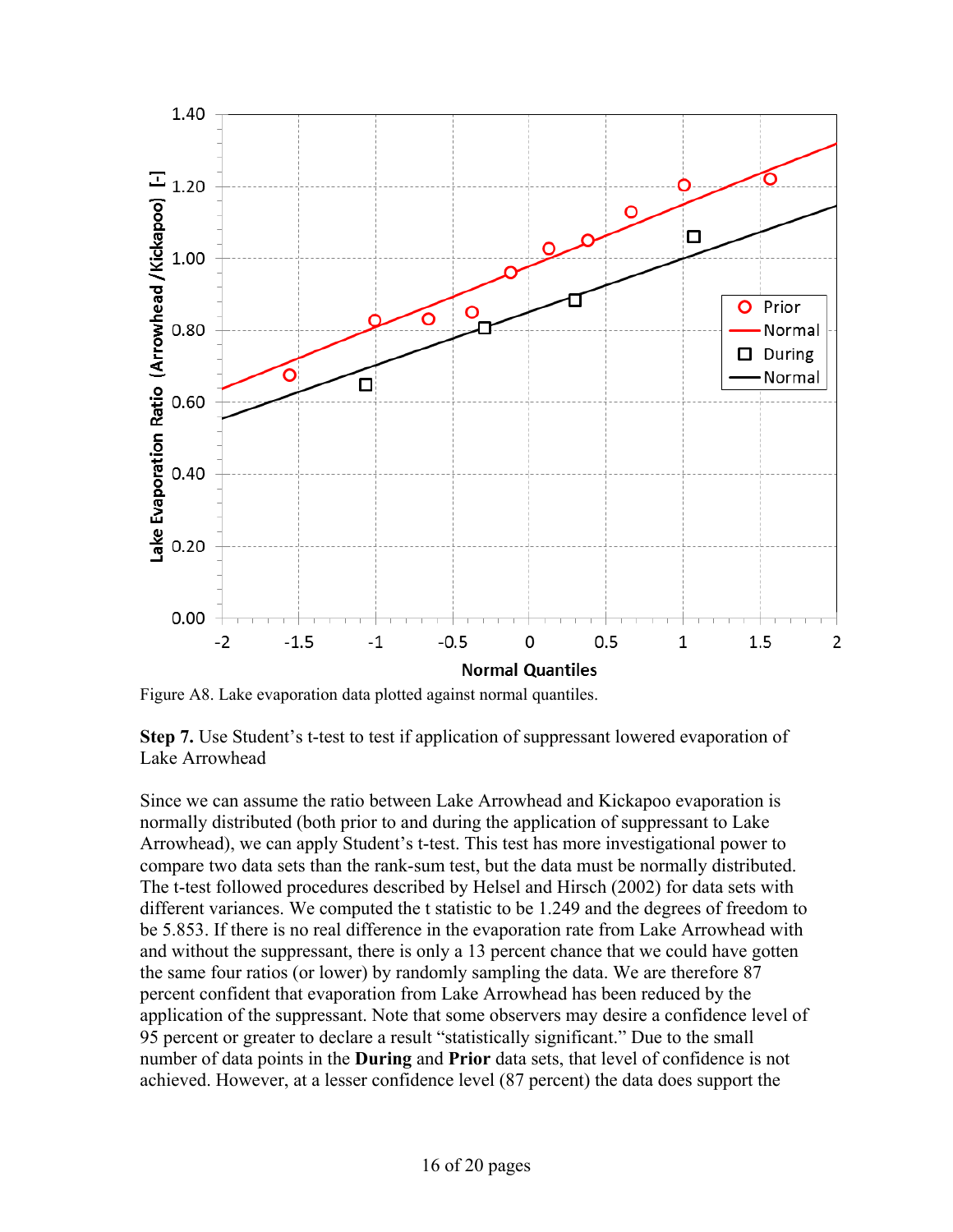

Figure A8. Lake evaporation data plotted against normal quantiles.

**Step 7.** Use Student's t-test to test if application of suppressant lowered evaporation of Lake Arrowhead

Since we can assume the ratio between Lake Arrowhead and Kickapoo evaporation is normally distributed (both prior to and during the application of suppressant to Lake Arrowhead), we can apply Student's t-test. This test has more investigational power to compare two data sets than the rank-sum test, but the data must be normally distributed. The t-test followed procedures described by Helsel and Hirsch (2002) for data sets with different variances. We computed the t statistic to be 1.249 and the degrees of freedom to be 5.853. If there is no real difference in the evaporation rate from Lake Arrowhead with and without the suppressant, there is only a 13 percent chance that we could have gotten the same four ratios (or lower) by randomly sampling the data. We are therefore 87 percent confident that evaporation from Lake Arrowhead has been reduced by the application of the suppressant. Note that some observers may desire a confidence level of 95 percent or greater to declare a result "statistically significant." Due to the small number of data points in the **During** and **Prior** data sets, that level of confidence is not achieved. However, at a lesser confidence level (87 percent) the data does support the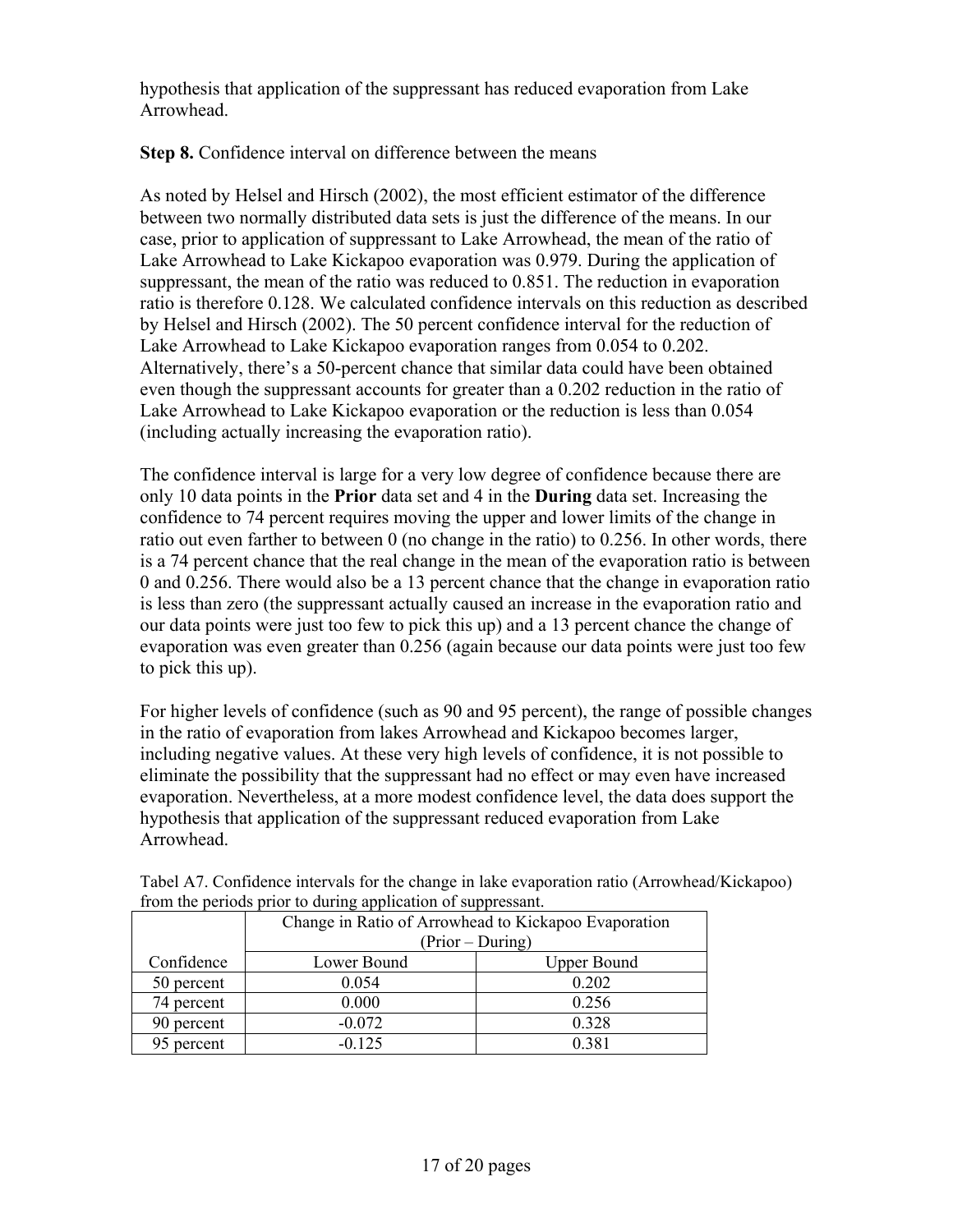hypothesis that application of the suppressant has reduced evaporation from Lake Arrowhead.

**Step 8.** Confidence interval on difference between the means

As noted by Helsel and Hirsch (2002), the most efficient estimator of the difference between two normally distributed data sets is just the difference of the means. In our case, prior to application of suppressant to Lake Arrowhead, the mean of the ratio of Lake Arrowhead to Lake Kickapoo evaporation was 0.979. During the application of suppressant, the mean of the ratio was reduced to 0.851. The reduction in evaporation ratio is therefore 0.128. We calculated confidence intervals on this reduction as described by Helsel and Hirsch (2002). The 50 percent confidence interval for the reduction of Lake Arrowhead to Lake Kickapoo evaporation ranges from 0.054 to 0.202. Alternatively, there's a 50-percent chance that similar data could have been obtained even though the suppressant accounts for greater than a 0.202 reduction in the ratio of Lake Arrowhead to Lake Kickapoo evaporation or the reduction is less than 0.054 (including actually increasing the evaporation ratio).

The confidence interval is large for a very low degree of confidence because there are only 10 data points in the **Prior** data set and 4 in the **During** data set. Increasing the confidence to 74 percent requires moving the upper and lower limits of the change in ratio out even farther to between 0 (no change in the ratio) to 0.256. In other words, there is a 74 percent chance that the real change in the mean of the evaporation ratio is between 0 and 0.256. There would also be a 13 percent chance that the change in evaporation ratio is less than zero (the suppressant actually caused an increase in the evaporation ratio and our data points were just too few to pick this up) and a 13 percent chance the change of evaporation was even greater than 0.256 (again because our data points were just too few to pick this up).

For higher levels of confidence (such as 90 and 95 percent), the range of possible changes in the ratio of evaporation from lakes Arrowhead and Kickapoo becomes larger, including negative values. At these very high levels of confidence, it is not possible to eliminate the possibility that the suppressant had no effect or may even have increased evaporation. Nevertheless, at a more modest confidence level, the data does support the hypothesis that application of the suppressant reduced evaporation from Lake Arrowhead.

|            | Change in Ratio of Arrowhead to Kickapoo Evaporation |                    |  |  |  |
|------------|------------------------------------------------------|--------------------|--|--|--|
|            | (Prior – During)                                     |                    |  |  |  |
| Confidence | Lower Bound                                          | <b>Upper Bound</b> |  |  |  |
| 50 percent | 0.054                                                | 0.202              |  |  |  |
| 74 percent | 0.000                                                | 0.256              |  |  |  |
| 90 percent | $-0.072$                                             | 0.328              |  |  |  |
| 95 percent | $-0.125$                                             | 0 3 8 1            |  |  |  |

Tabel A7. Confidence intervals for the change in lake evaporation ratio (Arrowhead/Kickapoo) from the periods prior to during application of suppressant.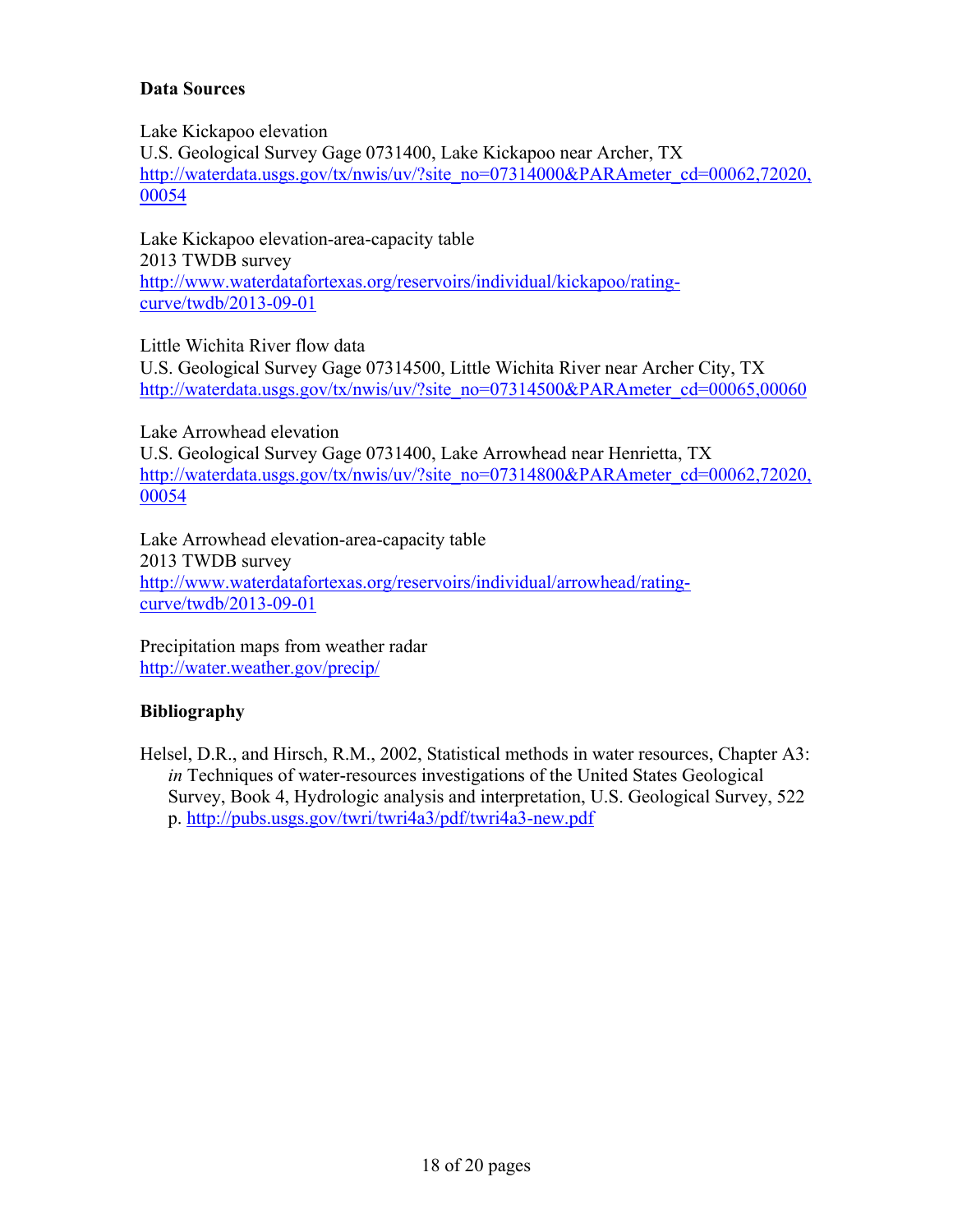### **Data Sources**

Lake Kickapoo elevation U.S. Geological Survey Gage 0731400, Lake Kickapoo near Archer, TX http://waterdata.usgs.gov/tx/nwis/uv/?site\_no=07314000&PARAmeter\_cd=00062.72020, 00054

Lake Kickapoo elevation-area-capacity table 2013 TWDB survey http://www.waterdatafortexas.org/reservoirs/individual/kickapoo/ratingcurve/twdb/2013-09-01

Little Wichita River flow data

U.S. Geological Survey Gage 07314500, Little Wichita River near Archer City, TX http://waterdata.usgs.gov/tx/nwis/uv/?site\_no=07314500&PARAmeter\_cd=00065,00060

Lake Arrowhead elevation U.S. Geological Survey Gage 0731400, Lake Arrowhead near Henrietta, TX http://waterdata.usgs.gov/tx/nwis/uv/?site\_no=07314800&PARAmeter\_cd=00062,72020, 00054

Lake Arrowhead elevation-area-capacity table 2013 TWDB survey http://www.waterdatafortexas.org/reservoirs/individual/arrowhead/ratingcurve/twdb/2013-09-01

Precipitation maps from weather radar http://water.weather.gov/precip/

#### **Bibliography**

Helsel, D.R., and Hirsch, R.M., 2002, Statistical methods in water resources, Chapter A3: *in* Techniques of water-resources investigations of the United States Geological Survey, Book 4, Hydrologic analysis and interpretation, U.S. Geological Survey, 522 p. http://pubs.usgs.gov/twri/twri4a3/pdf/twri4a3-new.pdf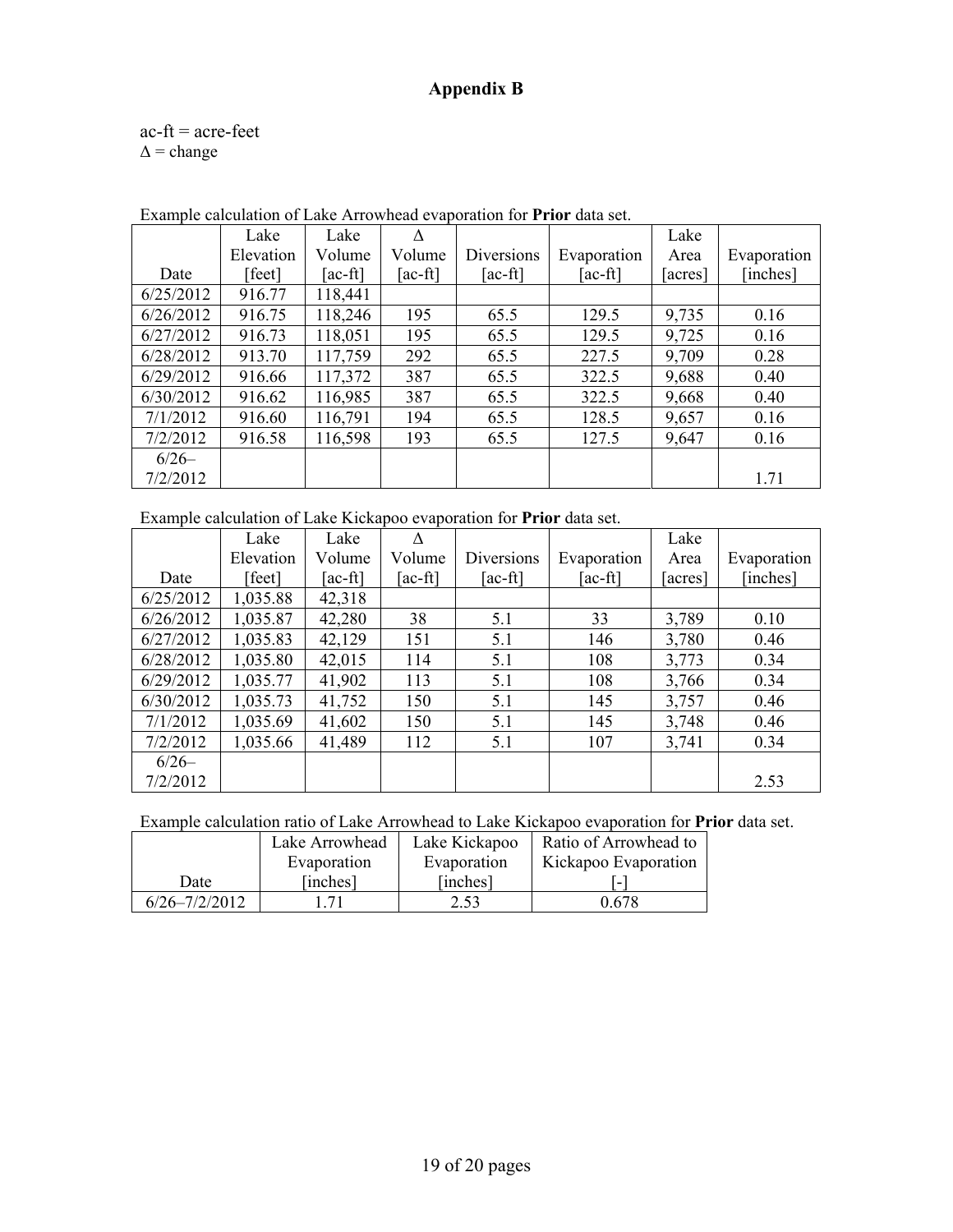## **Appendix B**

 $ac$ -ft =  $ac$ -feet  $\Delta$  = change

|           | Lake      | Lake    |         |            |             | Lake    |             |
|-----------|-----------|---------|---------|------------|-------------|---------|-------------|
|           | Elevation | Volume  | Volume  | Diversions | Evaporation | Area    | Evaporation |
| Date      | [feet]    | [ac-ft] | [ac-ft] | [ac-ft]    | [ac-ft]     | [acres] | [inches]    |
| 6/25/2012 | 916.77    | 118,441 |         |            |             |         |             |
| 6/26/2012 | 916.75    | 118,246 | 195     | 65.5       | 129.5       | 9,735   | 0.16        |
| 6/27/2012 | 916.73    | 118,051 | 195     | 65.5       | 129.5       | 9,725   | 0.16        |
| 6/28/2012 | 913.70    | 117,759 | 292     | 65.5       | 227.5       | 9,709   | 0.28        |
| 6/29/2012 | 916.66    | 117,372 | 387     | 65.5       | 322.5       | 9,688   | 0.40        |
| 6/30/2012 | 916.62    | 116,985 | 387     | 65.5       | 322.5       | 9,668   | 0.40        |
| 7/1/2012  | 916.60    | 116,791 | 194     | 65.5       | 128.5       | 9,657   | 0.16        |
| 7/2/2012  | 916.58    | 116,598 | 193     | 65.5       | 127.5       | 9,647   | 0.16        |
| $6/26-$   |           |         |         |            |             |         |             |
| 7/2/2012  |           |         |         |            |             |         | 1.71        |

Example calculation of Lake Arrowhead evaporation for **Prior** data set.

Example calculation of Lake Kickapoo evaporation for **Prior** data set.

|           | Lake      | Lake    |                               |            |             | Lake   |             |
|-----------|-----------|---------|-------------------------------|------------|-------------|--------|-------------|
|           | Elevation | Volume  | Volume                        | Diversions | Evaporation | Area   | Evaporation |
| Date      | [feet]    | [ac-ft] | $\lceil \text{ac-fit} \rceil$ | $[ac-fit]$ | $[ac-fit]$  | acres] | [inches]    |
| 6/25/2012 | 1,035.88  | 42,318  |                               |            |             |        |             |
| 6/26/2012 | 1,035.87  | 42,280  | 38                            | 5.1        | 33          | 3,789  | 0.10        |
| 6/27/2012 | 1,035.83  | 42,129  | 151                           | 5.1        | 146         | 3,780  | 0.46        |
| 6/28/2012 | 1,035.80  | 42,015  | 114                           | 5.1        | 108         | 3,773  | 0.34        |
| 6/29/2012 | 1,035.77  | 41,902  | 113                           | 5.1        | 108         | 3,766  | 0.34        |
| 6/30/2012 | 1,035.73  | 41,752  | 150                           | 5.1        | 145         | 3,757  | 0.46        |
| 7/1/2012  | 1,035.69  | 41,602  | 150                           | 5.1        | 145         | 3,748  | 0.46        |
| 7/2/2012  | 1,035.66  | 41,489  | 112                           | 5.1        | 107         | 3,741  | 0.34        |
| $6/26-$   |           |         |                               |            |             |        |             |
| 7/2/2012  |           |         |                               |            |             |        | 2.53        |

Example calculation ratio of Lake Arrowhead to Lake Kickapoo evaporation for **Prior** data set.

|                   | Lake Arrowhead | Lake Kickapoo | Ratio of Arrowhead to    |
|-------------------|----------------|---------------|--------------------------|
|                   | Evaporation    | Evaporation   | Kickapoo Evaporation     |
| Date              | [inches]       | [inches]      | $\overline{\phantom{0}}$ |
| $6/26 - 7/2/2012$ | -71            | 2.53          | 0.678                    |